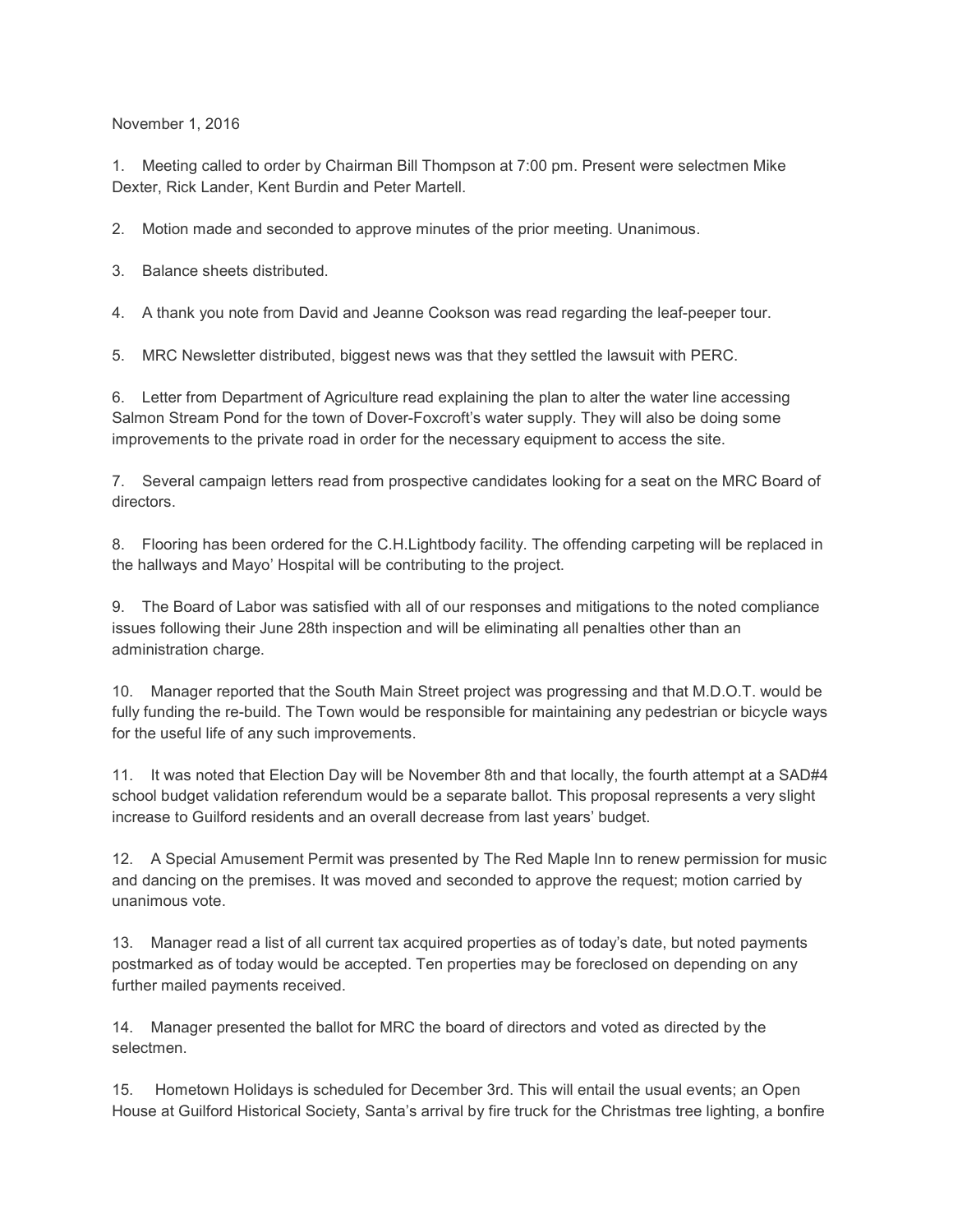November 1, 2016

1. Meeting called to order by Chairman Bill Thompson at 7:00 pm. Present were selectmen Mike Dexter, Rick Lander, Kent Burdin and Peter Martell.

2. Motion made and seconded to approve minutes of the prior meeting. Unanimous.

3. Balance sheets distributed.

4. A thank you note from David and Jeanne Cookson was read regarding the leaf-peeper tour.

5. MRC Newsletter distributed, biggest news was that they settled the lawsuit with PERC.

6. Letter from Department of Agriculture read explaining the plan to alter the water line accessing Salmon Stream Pond for the town of Dover-Foxcroft's water supply. They will also be doing some improvements to the private road in order for the necessary equipment to access the site.

7. Several campaign letters read from prospective candidates looking for a seat on the MRC Board of directors.

8. Flooring has been ordered for the C.H.Lightbody facility. The offending carpeting will be replaced in the hallways and Mayo' Hospital will be contributing to the project.

9. The Board of Labor was satisfied with all of our responses and mitigations to the noted compliance issues following their June 28th inspection and will be eliminating all penalties other than an administration charge.

10. Manager reported that the South Main Street project was progressing and that M.D.O.T. would be fully funding the re-build. The Town would be responsible for maintaining any pedestrian or bicycle ways for the useful life of any such improvements.

11. It was noted that Election Day will be November 8th and that locally, the fourth attempt at a SAD#4 school budget validation referendum would be a separate ballot. This proposal represents a very slight increase to Guilford residents and an overall decrease from last years' budget.

12. A Special Amusement Permit was presented by The Red Maple Inn to renew permission for music and dancing on the premises. It was moved and seconded to approve the request; motion carried by unanimous vote.

13. Manager read a list of all current tax acquired properties as of today's date, but noted payments postmarked as of today would be accepted. Ten properties may be foreclosed on depending on any further mailed payments received.

14. Manager presented the ballot for MRC the board of directors and voted as directed by the selectmen.

15. Hometown Holidays is scheduled for December 3rd. This will entail the usual events; an Open House at Guilford Historical Society, Santa's arrival by fire truck for the Christmas tree lighting, a bonfire